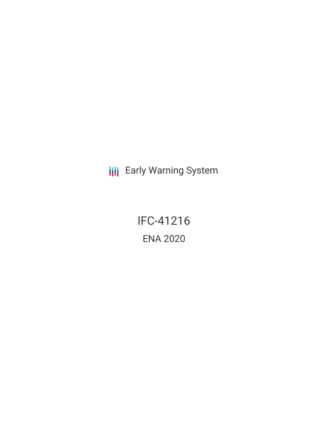**III** Early Warning System

IFC-41216 ENA 2020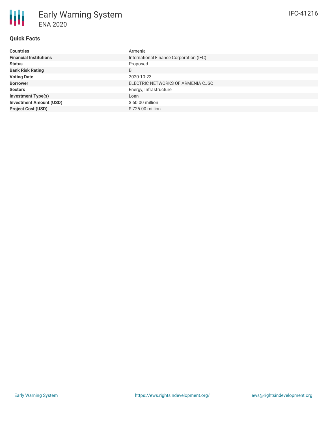# **Quick Facts**

| <b>Countries</b>               | Armenia                                 |
|--------------------------------|-----------------------------------------|
| <b>Financial Institutions</b>  | International Finance Corporation (IFC) |
| <b>Status</b>                  | Proposed                                |
| <b>Bank Risk Rating</b>        | B                                       |
| <b>Voting Date</b>             | 2020-10-23                              |
| <b>Borrower</b>                | ELECTRIC NETWORKS OF ARMENIA CJSC       |
| <b>Sectors</b>                 | Energy, Infrastructure                  |
| <b>Investment Type(s)</b>      | Loan                                    |
| <b>Investment Amount (USD)</b> | $$60.00$ million                        |
| <b>Project Cost (USD)</b>      | \$725.00 million                        |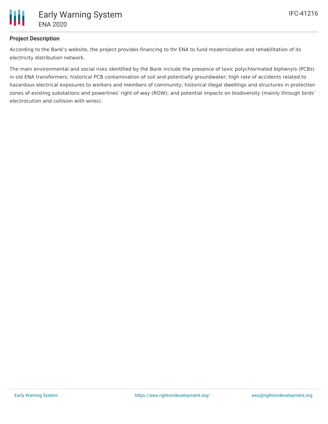

# **Project Description**

According to the Bank's website, the project provides financing to thr ENA to fund modernization and rehabilitation of its electricity distribution network.

The main environmental and social risks identified by the Bank include the presence of toxic polychlorinated biphenyls (PCBs) in old ENA transformers; historical PCB contamination of soil and potentially groundwater; high rate of accidents related to hazardous electrical exposures to workers and members of community; historical illegal dwellings and structures in protection zones of existing substations and powerlines' right-of-way (ROW); and potential impacts on biodiversity (mainly through birds' electrocution and collision with wires).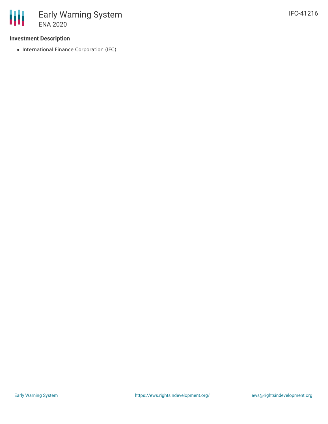## **Investment Description**

• International Finance Corporation (IFC)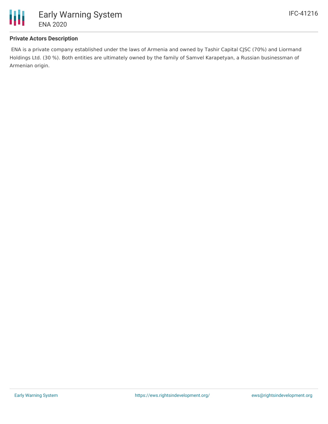

## **Private Actors Description**

ENA is a private company established under the laws of Armenia and owned by Tashir Capital CJSC (70%) and Liormand Holdings Ltd. (30 %). Both entities are ultimately owned by the family of Samvel Karapetyan, a Russian businessman of Armenian origin.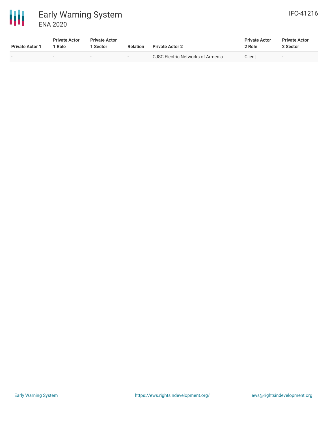

| <b>Private Actor 1</b> | <b>Private Actor</b><br>' Role | <b>Private Actor</b><br><b>Sector</b> | <b>Relation</b>          | <b>Private Actor 2</b>            | <b>Private Actor</b><br>2 Role | <b>Private Actor</b><br>2 Sector |
|------------------------|--------------------------------|---------------------------------------|--------------------------|-----------------------------------|--------------------------------|----------------------------------|
| $\sim$                 | $\,$                           | $\overline{\phantom{a}}$              | $\overline{\phantom{0}}$ | CJSC Electric Networks of Armenia | Client                         | $\overline{\phantom{0}}$         |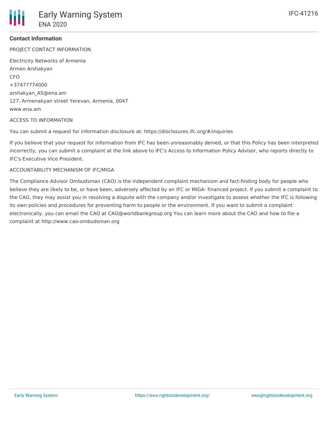### **Contact Information**

PROJECT CONTACT INFORMATION

Electricity Networks of Armenia Armen Arshakyan CFO +37477774000 arshakyan\_AS@ena.am 127, Armenakyan street Yerevan, Armenia, 0047 www.ena.am

#### ACCESS TO INFORMATION

You can submit a request for information disclosure at: https://disclosures.ifc.org/#/inquiries

If you believe that your request for information from IFC has been unreasonably denied, or that this Policy has been interpreted incorrectly, you can submit a complaint at the link above to IFC's Access to Information Policy Advisor, who reports directly to IFC's Executive Vice President.

#### ACCOUNTABILITY MECHANISM OF IFC/MIGA

The Compliance Advisor Ombudsman (CAO) is the independent complaint mechanism and fact-finding body for people who believe they are likely to be, or have been, adversely affected by an IFC or MIGA- financed project. If you submit a complaint to the CAO, they may assist you in resolving a dispute with the company and/or investigate to assess whether the IFC is following its own policies and procedures for preventing harm to people or the environment. If you want to submit a complaint electronically, you can email the CAO at CAO@worldbankgroup.org You can learn more about the CAO and how to file a complaint at http://www.cao-ombudsman.org